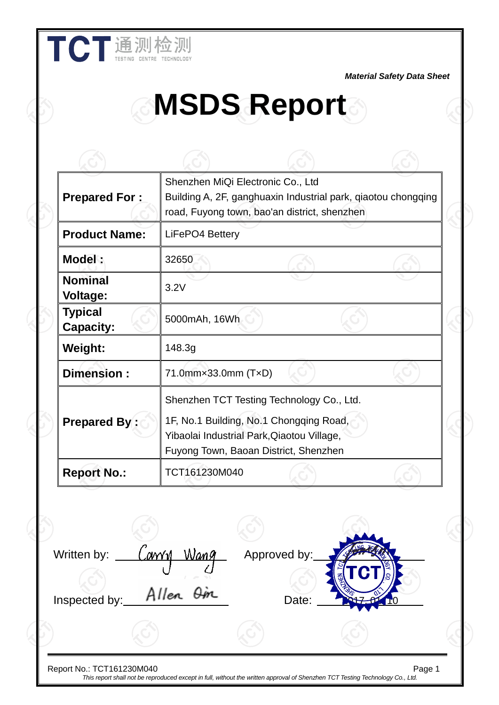*Material Safety Data Sheet*

# **MSDS Report**

| <b>Prepared For:</b>               | Shenzhen MiQi Electronic Co., Ltd<br>Building A, 2F, ganghuaxin Industrial park, qiaotou chongqing<br>road, Fuyong town, bao'an district, shenzhen                          |  |
|------------------------------------|-----------------------------------------------------------------------------------------------------------------------------------------------------------------------------|--|
| <b>Product Name:</b>               | LiFePO4 Bettery                                                                                                                                                             |  |
| Model:                             | 32650                                                                                                                                                                       |  |
| <b>Nominal</b><br><b>Voltage:</b>  | 3.2V                                                                                                                                                                        |  |
| <b>Typical</b><br><b>Capacity:</b> | 5000mAh, 16Wh                                                                                                                                                               |  |
| <b>Weight:</b>                     | 148.3g                                                                                                                                                                      |  |
| Dimension:                         | 71.0mm×33.0mm (T×D)                                                                                                                                                         |  |
| <b>Prepared By:</b>                | Shenzhen TCT Testing Technology Co., Ltd.<br>1F, No.1 Building, No.1 Chongqing Road,<br>Yibaolai Industrial Park, Qiaotou Village,<br>Fuyong Town, Baoan District, Shenzhen |  |
| <b>Report No.:</b>                 | TCT161230M040                                                                                                                                                               |  |

Report No.: TCT161230M040 Page 1 *This report shall not be reproduced except in full, without the written approval of Shenzhen TCT Testing Technology Co., Ltd.*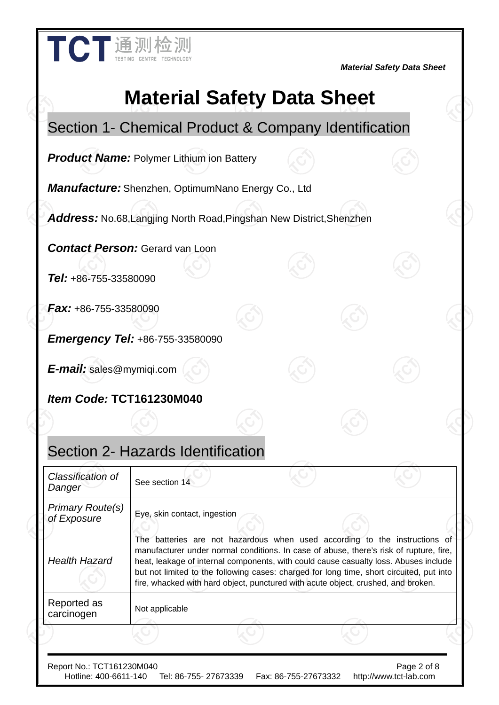| TCT通测检测                                                                     | <b>Material Safety Data Sheet</b> |
|-----------------------------------------------------------------------------|-----------------------------------|
| <b>Material Safety Data Sheet</b>                                           |                                   |
| Section 1- Chemical Product & Company Identification                        |                                   |
| <b>Product Name: Polymer Lithium ion Battery</b>                            |                                   |
| <b>Manufacture:</b> Shenzhen, OptimumNano Energy Co., Ltd                   |                                   |
| <b>Address:</b> No.68, Langjing North Road, Pingshan New District, Shenzhen |                                   |
| <b>Contact Person:</b> Gerard van Loon<br><b>Tel:</b> +86-755-33580090      |                                   |

*Fax:* +86-755-33580090

*Emergency Tel:* +86-755-33580090

*E-mail:* sales@mymiqi.com

*Item Code:* **TCT161230M040** 

#### Section 2- Hazards Identification

| Classification of<br>Danger                        | See section 14                                                                                                                                                                                                                                                                                                                                                                                                                                |
|----------------------------------------------------|-----------------------------------------------------------------------------------------------------------------------------------------------------------------------------------------------------------------------------------------------------------------------------------------------------------------------------------------------------------------------------------------------------------------------------------------------|
| <b>Primary Route(s)</b><br>of Exposure             | Eye, skin contact, ingestion                                                                                                                                                                                                                                                                                                                                                                                                                  |
| <b>Health Hazard</b>                               | The batteries are not hazardous when used according to the instructions of<br>manufacturer under normal conditions. In case of abuse, there's risk of rupture, fire,<br>heat, leakage of internal components, with could cause casualty loss. Abuses include<br>but not limited to the following cases: charged for long time, short circuited, put into<br>fire, whacked with hard object, punctured with acute object, crushed, and broken. |
| Reported as<br>carcinogen                          | Not applicable                                                                                                                                                                                                                                                                                                                                                                                                                                |
|                                                    |                                                                                                                                                                                                                                                                                                                                                                                                                                               |
| Report No.: TCT161230M040<br>Hotline: 400-6611-140 | Page 2 of 8<br>Tel: 86-755- 27673339<br>Fax: 86-755-27673332<br>http://www.tct-lab.com                                                                                                                                                                                                                                                                                                                                                        |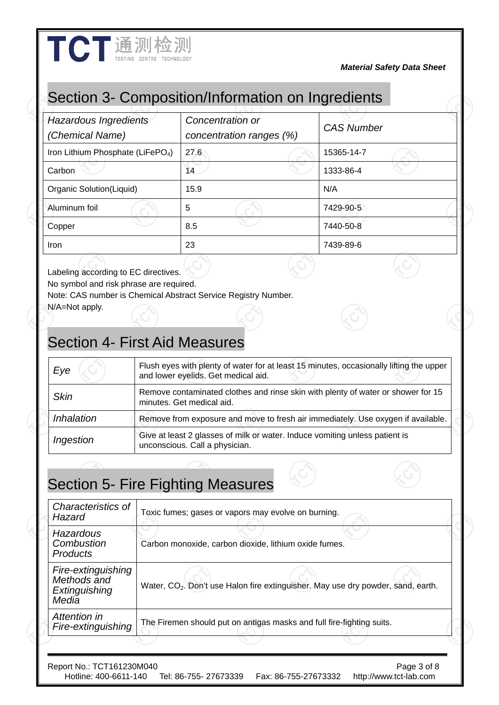#### Section 3- Composition/Information on Ingredients

| Hazardous Ingredients<br>(Chemical Name)      | Concentration or<br>concentration ranges (%) | <b>CAS Number</b> |
|-----------------------------------------------|----------------------------------------------|-------------------|
| Iron Lithium Phosphate (LiFePO <sub>4</sub> ) | 27.6                                         | 15365-14-7        |
| Carbon                                        | 14                                           | 1333-86-4         |
| Organic Solution(Liquid)                      | 15.9                                         | N/A               |
| Aluminum foil                                 | 5                                            | 7429-90-5         |
| Copper                                        | 8.5                                          | 7440-50-8         |
| <b>Iron</b>                                   | 23                                           | 7439-89-6         |

Labeling according to EC directives.

No symbol and risk phrase are required.

Note: CAS number is Chemical Abstract Service Registry Number.

N/A=Not apply.

#### Section 4- First Aid Measures

| Eye         | Flush eyes with plenty of water for at least 15 minutes, occasionally lifting the upper<br>and lower eyelids. Get medical aid. |
|-------------|--------------------------------------------------------------------------------------------------------------------------------|
| <b>Skin</b> | Remove contaminated clothes and rinse skin with plenty of water or shower for 15<br>minutes. Get medical aid.                  |
| Inhalation  | Remove from exposure and move to fresh air immediately. Use oxygen if available.                                               |
| Ingestion   | Give at least 2 glasses of milk or water. Induce vomiting unless patient is<br>unconscious. Call a physician.                  |

### Section 5- Fire Fighting Measures

| Characteristics of<br>Hazard                                | Toxic fumes; gases or vapors may evolve on burning.                                          |
|-------------------------------------------------------------|----------------------------------------------------------------------------------------------|
| Hazardous<br>Combustion<br><b>Products</b>                  | Carbon monoxide, carbon dioxide, lithium oxide fumes.                                        |
| Fire-extinguishing<br>Methods and<br>Extinguishing<br>Media | Water, CO <sub>2</sub> . Don't use Halon fire extinguisher. May use dry powder, sand, earth. |
| Attention in<br>Fire-extinguishing                          | The Firemen should put on antigas masks and full fire-fighting suits.                        |
|                                                             |                                                                                              |

Report No.: TCT161230M040<br>Hotline: 400-6611-140 Tel: 86-755- 27673339 Fax: 86-755-27673332 http://www.tct-lab.com Tel: 86-755- 27673339 Fax: 86-755-27673332 http://www.tct-lab.com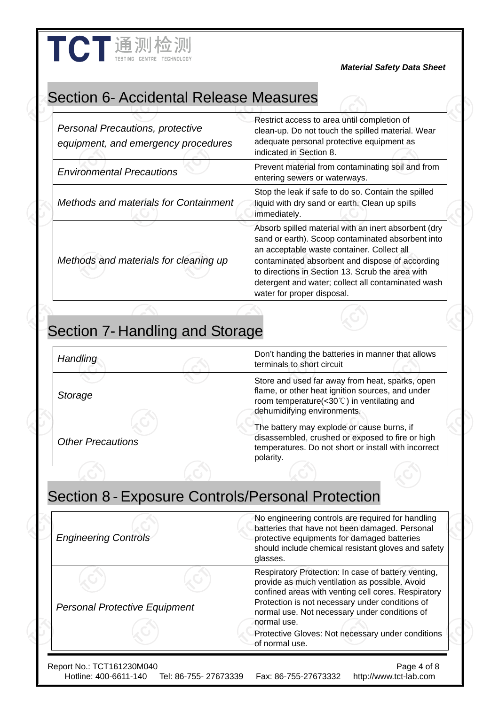### Section 6- Accidental Release Measures

TCT通测检测

| <b>Personal Precautions, protective</b><br>equipment, and emergency procedures | Restrict access to area until completion of<br>clean-up. Do not touch the spilled material. Wear<br>adequate personal protective equipment as<br>indicated in Section 8.                                                                                                                                                                           |
|--------------------------------------------------------------------------------|----------------------------------------------------------------------------------------------------------------------------------------------------------------------------------------------------------------------------------------------------------------------------------------------------------------------------------------------------|
| <b>Environmental Precautions</b>                                               | Prevent material from contaminating soil and from<br>entering sewers or waterways.                                                                                                                                                                                                                                                                 |
| Methods and materials for Containment                                          | Stop the leak if safe to do so. Contain the spilled<br>liquid with dry sand or earth. Clean up spills<br>immediately.                                                                                                                                                                                                                              |
| Methods and materials for cleaning up                                          | Absorb spilled material with an inert absorbent (dry<br>sand or earth). Scoop contaminated absorbent into<br>an acceptable waste container. Collect all<br>contaminated absorbent and dispose of according<br>to directions in Section 13. Scrub the area with<br>detergent and water; collect all contaminated wash<br>water for proper disposal. |

## Section 7- Handling and Storage

| Handling                 | Don't handing the batteries in manner that allows<br>terminals to short circuit                                                                                                            |
|--------------------------|--------------------------------------------------------------------------------------------------------------------------------------------------------------------------------------------|
| Storage                  | Store and used far away from heat, sparks, open<br>flame, or other heat ignition sources, and under<br>room temperature(<30 $\degree$ C) in ventilating and<br>dehumidifying environments. |
| <b>Other Precautions</b> | The battery may explode or cause burns, if<br>disassembled, crushed or exposed to fire or high<br>temperatures. Do not short or install with incorrect<br>polarity.                        |

### Section 8 - Exposure Controls/Personal Protection

| <b>Engineering Controls</b>                                                 | No engineering controls are required for handling<br>batteries that have not been damaged. Personal<br>protective equipments for damaged batteries<br>should include chemical resistant gloves and safety<br>glasses.                                                                                                                                  |
|-----------------------------------------------------------------------------|--------------------------------------------------------------------------------------------------------------------------------------------------------------------------------------------------------------------------------------------------------------------------------------------------------------------------------------------------------|
| <b>Personal Protective Equipment</b>                                        | Respiratory Protection: In case of battery venting,<br>provide as much ventilation as possible. Avoid<br>confined areas with venting cell cores. Respiratory<br>Protection is not necessary under conditions of<br>normal use. Not necessary under conditions of<br>normal use.<br>Protective Gloves: Not necessary under conditions<br>of normal use. |
| Report No.: TCT161230M040<br>Hotline: 400-6611-140<br>Tel: 86-755- 27673339 | Page 4 of 8<br>Fax: 86-755-27673332<br>http://www.tct-lab.com                                                                                                                                                                                                                                                                                          |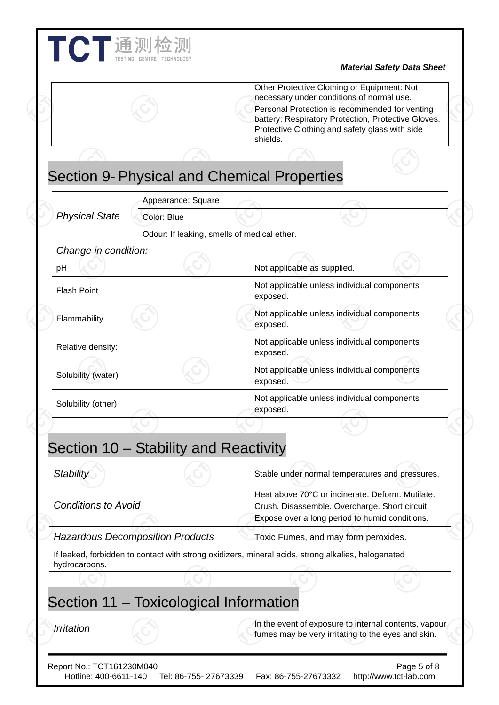|                            |                                             | Other Protective Clothing or Equipment: Not<br>necessary under conditions of normal use.<br>Personal Protection is recommended for venting<br>battery: Respiratory Protection, Protective Gloves,<br>Protective Clothing and safety glass with side<br>shields. |  |
|----------------------------|---------------------------------------------|-----------------------------------------------------------------------------------------------------------------------------------------------------------------------------------------------------------------------------------------------------------------|--|
|                            |                                             |                                                                                                                                                                                                                                                                 |  |
|                            |                                             | <b>Section 9- Physical and Chemical Properties</b>                                                                                                                                                                                                              |  |
|                            | Appearance: Square                          |                                                                                                                                                                                                                                                                 |  |
| <b>Physical State</b>      | Color: Blue                                 |                                                                                                                                                                                                                                                                 |  |
| Change in condition:       | Odour: If leaking, smells of medical ether. |                                                                                                                                                                                                                                                                 |  |
| pH                         |                                             | Not applicable as supplied.                                                                                                                                                                                                                                     |  |
| <b>Flash Point</b>         |                                             | Not applicable unless individual components<br>exposed.                                                                                                                                                                                                         |  |
| Flammability               |                                             | Not applicable unless individual components<br>exposed.                                                                                                                                                                                                         |  |
| Relative density:          |                                             | Not applicable unless individual components<br>exposed.                                                                                                                                                                                                         |  |
| Solubility (water)         |                                             | Not applicable unless individual components<br>exposed.                                                                                                                                                                                                         |  |
| Solubility (other)         |                                             | Not applicable unless individual components<br>exposed.                                                                                                                                                                                                         |  |
|                            | Section 10 – Stability and Reactivity       |                                                                                                                                                                                                                                                                 |  |
| <b>Stability</b>           |                                             | Stable under normal temperatures and pressures.                                                                                                                                                                                                                 |  |
| <b>Conditions to Avoid</b> |                                             | Heat above 70°C or incinerate. Deform. Mutilate.<br>Crush. Disassemble. Overcharge. Short circuit.<br>Expose over a long period to humid conditions.                                                                                                            |  |
|                            | <b>Hazardous Decomposition Products</b>     | Toxic Fumes, and may form peroxides.                                                                                                                                                                                                                            |  |
| hydrocarbons.              |                                             | If leaked, forbidden to contact with strong oxidizers, mineral acids, strong alkalies, halogenated                                                                                                                                                              |  |
|                            | Section 11 - Toxicological Information      |                                                                                                                                                                                                                                                                 |  |
| Irritation                 |                                             | In the event of exposure to internal contents, vapour<br>fumes may be very irritating to the eyes and skin.                                                                                                                                                     |  |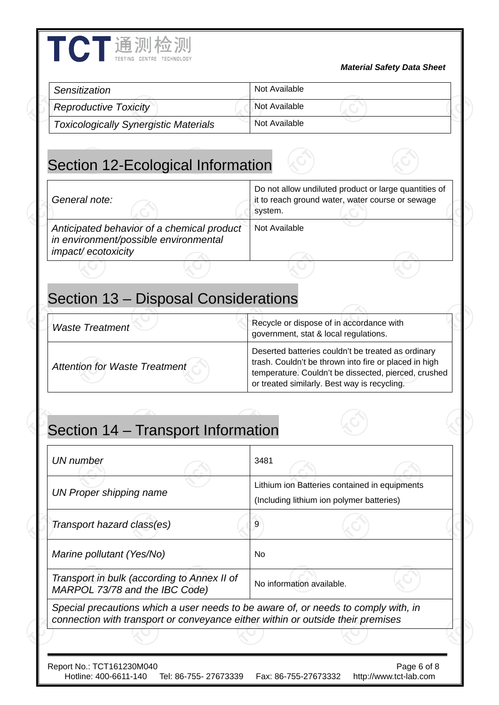| Sensitization                                                                                             | Not Available                                                                                                                                        |
|-----------------------------------------------------------------------------------------------------------|------------------------------------------------------------------------------------------------------------------------------------------------------|
| <b>Reproductive Toxicity</b>                                                                              | Not Available                                                                                                                                        |
| <b>Toxicologically Synergistic Materials</b>                                                              | Not Available                                                                                                                                        |
| Section 12-Ecological Information                                                                         |                                                                                                                                                      |
| General note:                                                                                             | Do not allow undiluted product or large quantities of<br>it to reach ground water, water course or sewage<br>system.                                 |
| Anticipated behavior of a chemical product<br>in environment/possible environmental<br>impact/ecotoxicity | <b>Not Available</b>                                                                                                                                 |
|                                                                                                           |                                                                                                                                                      |
|                                                                                                           |                                                                                                                                                      |
|                                                                                                           | Recycle or dispose of in accordance with                                                                                                             |
|                                                                                                           | government, stat & local regulations.<br>Deserted batteries couldn't be treated as ordinary<br>trash. Couldn't be thrown into fire or placed in high |
| <b>Waste Treatment</b><br><b>Attention for Waste Treatment</b>                                            | temperature. Couldn't be dissected, pierced, crushed<br>or treated similarly. Best way is recycling.                                                 |
| Section 14 - Transport Information                                                                        |                                                                                                                                                      |
|                                                                                                           | 3481                                                                                                                                                 |
| <b>UN</b> number<br><b>UN Proper shipping name</b>                                                        | Lithium ion Batteries contained in equipments<br>(Including lithium ion polymer batteries)                                                           |

Report No.: TCT161230M040<br>Hotline: 400-6611-140 Tel: 86-755- 27673339 Fax: 86-755-27673332 http://www.tct-lab.com Fax: 86-755-27673332 http://www.tct-lab.com

*Special precautions which a user needs to be aware of, or needs to comply with, in connection with transport or conveyance either within or outside their premises* 

*Marine pollutant (Yes/No)*  $\vert$  No

*Marisport in buik (according to Annex if or* No information available.<br>MARPOL 73/78 and the IBC Code)

*Transport in bulk (according to Annex II of* 

TCT通测检测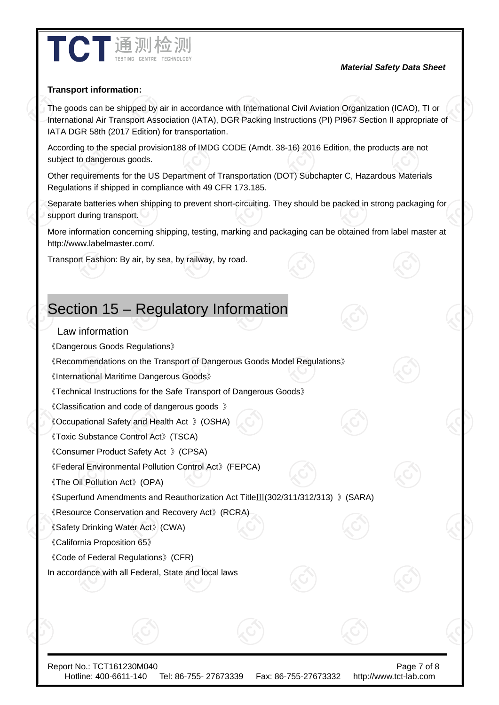

#### *Material Safety Data Sheet*

#### **Transport information:**

The goods can be shipped by air in accordance with International Civil Aviation Organization (ICAO), TI or International Air Transport Association (IATA), DGR Packing Instructions (PI) PI967 Section II appropriate of IATA DGR 58th (2017 Edition) for transportation.

According to the special provision188 of IMDG CODE (Amdt. 38-16) 2016 Edition, the products are not subject to dangerous goods.

Other requirements for the US Department of Transportation (DOT) Subchapter C, Hazardous Materials Regulations if shipped in compliance with 49 CFR 173.185.

Separate batteries when shipping to prevent short-circuiting. They should be packed in strong packaging for support during transport.

More information concerning shipping, testing, marking and packaging can be obtained from label master at http://www.labelmaster.com/.

Transport Fashion: By air, by sea, by railway, by road.

#### Section 15 – Regulatory Information

#### Law information

《Dangerous Goods Regulations》

《Recommendations on the Transport of Dangerous Goods Model Regulations》

《International Maritime Dangerous Goods》

《Technical Instructions for the Safe Transport of Dangerous Goods》

《Classification and code of dangerous goods 》

《Occupational Safety and Health Act 》(OSHA)

《Toxic Substance Control Act》(TSCA)

《Consumer Product Safety Act 》(CPSA)

《Federal Environmental Pollution Control Act》(FEPCA)

《The Oil Pollution Act》(OPA)

《Superfund Amendments and Reauthorization Act TitleⅢ(302/311/312/313) 》(SARA)

《Resource Conservation and Recovery Act》(RCRA)

《Safety Drinking Water Act》(CWA)

《California Proposition 65》

《Code of Federal Regulations》(CFR)

In accordance with all Federal, State and local laws